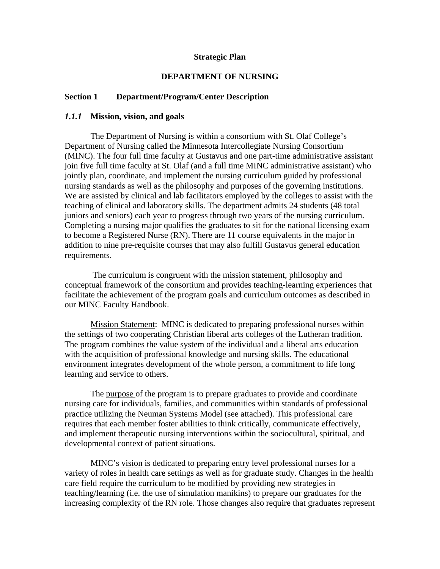#### **Strategic Plan**

#### **DEPARTMENT OF NURSING**

## **Section 1 Department/Program/Center Description**

#### *1.1.1* **Mission, vision, and goals**

The Department of Nursing is within a consortium with St. Olaf College's Department of Nursing called the Minnesota Intercollegiate Nursing Consortium (MINC). The four full time faculty at Gustavus and one part-time administrative assistant join five full time faculty at St. Olaf (and a full time MINC administrative assistant) who jointly plan, coordinate, and implement the nursing curriculum guided by professional nursing standards as well as the philosophy and purposes of the governing institutions. We are assisted by clinical and lab facilitators employed by the colleges to assist with the teaching of clinical and laboratory skills. The department admits 24 students (48 total juniors and seniors) each year to progress through two years of the nursing curriculum. Completing a nursing major qualifies the graduates to sit for the national licensing exam to become a Registered Nurse (RN). There are 11 course equivalents in the major in addition to nine pre-requisite courses that may also fulfill Gustavus general education requirements.

 The curriculum is congruent with the mission statement, philosophy and conceptual framework of the consortium and provides teaching-learning experiences that facilitate the achievement of the program goals and curriculum outcomes as described in our MINC Faculty Handbook.

Mission Statement: MINC is dedicated to preparing professional nurses within the settings of two cooperating Christian liberal arts colleges of the Lutheran tradition. The program combines the value system of the individual and a liberal arts education with the acquisition of professional knowledge and nursing skills. The educational environment integrates development of the whole person, a commitment to life long learning and service to others.

 The purpose of the program is to prepare graduates to provide and coordinate nursing care for individuals, families, and communities within standards of professional practice utilizing the Neuman Systems Model (see attached). This professional care requires that each member foster abilities to think critically, communicate effectively, and implement therapeutic nursing interventions within the sociocultural, spiritual, and developmental context of patient situations.

MINC's vision is dedicated to preparing entry level professional nurses for a variety of roles in health care settings as well as for graduate study. Changes in the health care field require the curriculum to be modified by providing new strategies in teaching/learning (i.e. the use of simulation manikins) to prepare our graduates for the increasing complexity of the RN role. Those changes also require that graduates represent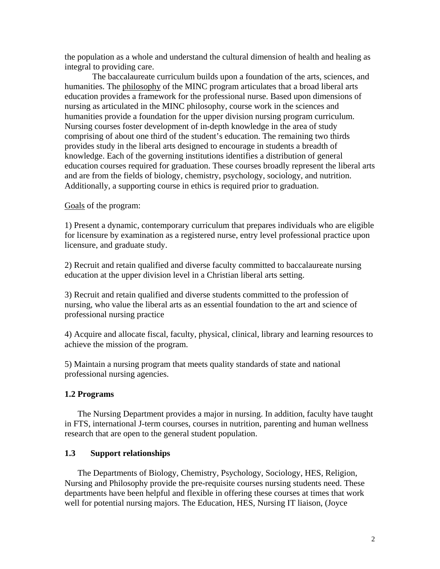the population as a whole and understand the cultural dimension of health and healing as integral to providing care.

The baccalaureate curriculum builds upon a foundation of the arts, sciences, and humanities. The philosophy of the MINC program articulates that a broad liberal arts education provides a framework for the professional nurse. Based upon dimensions of nursing as articulated in the MINC philosophy, course work in the sciences and humanities provide a foundation for the upper division nursing program curriculum. Nursing courses foster development of in-depth knowledge in the area of study comprising of about one third of the student's education. The remaining two thirds provides study in the liberal arts designed to encourage in students a breadth of knowledge. Each of the governing institutions identifies a distribution of general education courses required for graduation. These courses broadly represent the liberal arts and are from the fields of biology, chemistry, psychology, sociology, and nutrition. Additionally, a supporting course in ethics is required prior to graduation.

Goals of the program:

1) Present a dynamic, contemporary curriculum that prepares individuals who are eligible for licensure by examination as a registered nurse, entry level professional practice upon licensure, and graduate study.

2) Recruit and retain qualified and diverse faculty committed to baccalaureate nursing education at the upper division level in a Christian liberal arts setting.

3) Recruit and retain qualified and diverse students committed to the profession of nursing, who value the liberal arts as an essential foundation to the art and science of professional nursing practice

4) Acquire and allocate fiscal, faculty, physical, clinical, library and learning resources to achieve the mission of the program.

5) Maintain a nursing program that meets quality standards of state and national professional nursing agencies.

#### **1.2 Programs**

The Nursing Department provides a major in nursing. In addition, faculty have taught in FTS, international J-term courses, courses in nutrition, parenting and human wellness research that are open to the general student population.

#### **1.3 Support relationships**

The Departments of Biology, Chemistry, Psychology, Sociology, HES, Religion, Nursing and Philosophy provide the pre-requisite courses nursing students need. These departments have been helpful and flexible in offering these courses at times that work well for potential nursing majors. The Education, HES, Nursing IT liaison, (Joyce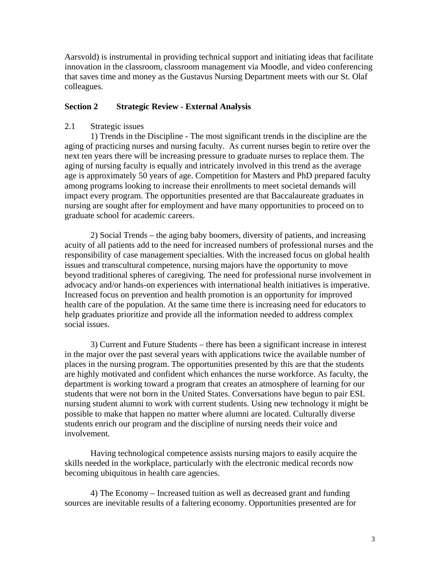Aarsvold) is instrumental in providing technical support and initiating ideas that facilitate innovation in the classroom, classroom management via Moodle, and video conferencing that saves time and money as the Gustavus Nursing Department meets with our St. Olaf colleagues.

## **Section 2 Strategic Review - External Analysis**

## 2.1 Strategic issues

1) Trends in the Discipline - The most significant trends in the discipline are the aging of practicing nurses and nursing faculty. As current nurses begin to retire over the next ten years there will be increasing pressure to graduate nurses to replace them. The aging of nursing faculty is equally and intricately involved in this trend as the average age is approximately 50 years of age. Competition for Masters and PhD prepared faculty among programs looking to increase their enrollments to meet societal demands will impact every program. The opportunities presented are that Baccalaureate graduates in nursing are sought after for employment and have many opportunities to proceed on to graduate school for academic careers.

2) Social Trends – the aging baby boomers, diversity of patients, and increasing acuity of all patients add to the need for increased numbers of professional nurses and the responsibility of case management specialties. With the increased focus on global health issues and transcultural competence, nursing majors have the opportunity to move beyond traditional spheres of caregiving. The need for professional nurse involvement in advocacy and/or hands-on experiences with international health initiatives is imperative. Increased focus on prevention and health promotion is an opportunity for improved health care of the population. At the same time there is increasing need for educators to help graduates prioritize and provide all the information needed to address complex social issues.

3) Current and Future Students – there has been a significant increase in interest in the major over the past several years with applications twice the available number of places in the nursing program. The opportunities presented by this are that the students are highly motivated and confident which enhances the nurse workforce. As faculty, the department is working toward a program that creates an atmosphere of learning for our students that were not born in the United States. Conversations have begun to pair ESL nursing student alumni to work with current students. Using new technology it might be possible to make that happen no matter where alumni are located. Culturally diverse students enrich our program and the discipline of nursing needs their voice and involvement.

Having technological competence assists nursing majors to easily acquire the skills needed in the workplace, particularly with the electronic medical records now becoming ubiquitous in health care agencies.

4) The Economy – Increased tuition as well as decreased grant and funding sources are inevitable results of a faltering economy. Opportunities presented are for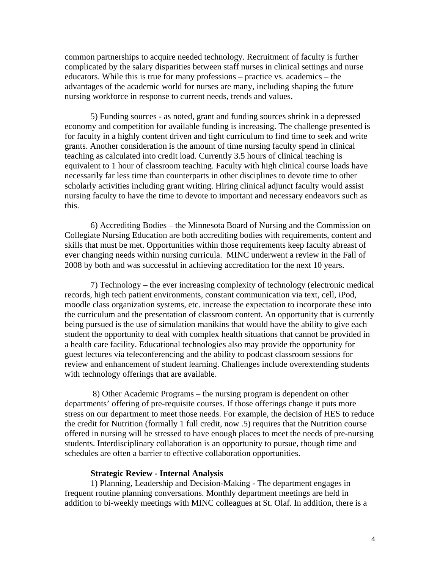common partnerships to acquire needed technology. Recruitment of faculty is further complicated by the salary disparities between staff nurses in clinical settings and nurse educators. While this is true for many professions – practice vs. academics – the advantages of the academic world for nurses are many, including shaping the future nursing workforce in response to current needs, trends and values.

5) Funding sources - as noted, grant and funding sources shrink in a depressed economy and competition for available funding is increasing. The challenge presented is for faculty in a highly content driven and tight curriculum to find time to seek and write grants. Another consideration is the amount of time nursing faculty spend in clinical teaching as calculated into credit load. Currently 3.5 hours of clinical teaching is equivalent to 1 hour of classroom teaching. Faculty with high clinical course loads have necessarily far less time than counterparts in other disciplines to devote time to other scholarly activities including grant writing. Hiring clinical adjunct faculty would assist nursing faculty to have the time to devote to important and necessary endeavors such as this.

6) Accrediting Bodies – the Minnesota Board of Nursing and the Commission on Collegiate Nursing Education are both accrediting bodies with requirements, content and skills that must be met. Opportunities within those requirements keep faculty abreast of ever changing needs within nursing curricula. MINC underwent a review in the Fall of 2008 by both and was successful in achieving accreditation for the next 10 years.

7) Technology – the ever increasing complexity of technology (electronic medical records, high tech patient environments, constant communication via text, cell, iPod, moodle class organization systems, etc. increase the expectation to incorporate these into the curriculum and the presentation of classroom content. An opportunity that is currently being pursued is the use of simulation manikins that would have the ability to give each student the opportunity to deal with complex health situations that cannot be provided in a health care facility. Educational technologies also may provide the opportunity for guest lectures via teleconferencing and the ability to podcast classroom sessions for review and enhancement of student learning. Challenges include overextending students with technology offerings that are available.

 8) Other Academic Programs – the nursing program is dependent on other departments' offering of pre-requisite courses. If those offerings change it puts more stress on our department to meet those needs. For example, the decision of HES to reduce the credit for Nutrition (formally 1 full credit, now .5) requires that the Nutrition course offered in nursing will be stressed to have enough places to meet the needs of pre-nursing students. Interdisciplinary collaboration is an opportunity to pursue, though time and schedules are often a barrier to effective collaboration opportunities.

#### **Strategic Review - Internal Analysis**

1) Planning, Leadership and Decision-Making - The department engages in frequent routine planning conversations. Monthly department meetings are held in addition to bi-weekly meetings with MINC colleagues at St. Olaf. In addition, there is a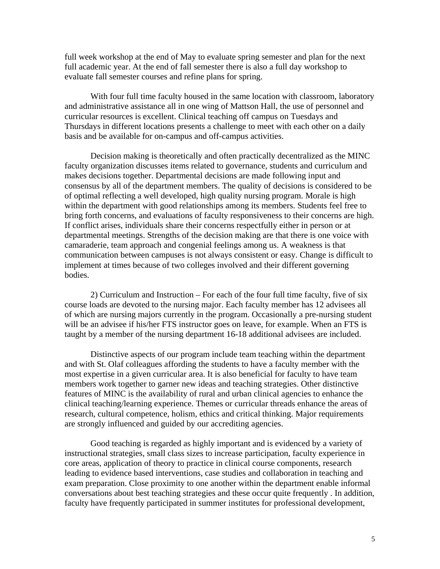full week workshop at the end of May to evaluate spring semester and plan for the next full academic year. At the end of fall semester there is also a full day workshop to evaluate fall semester courses and refine plans for spring.

With four full time faculty housed in the same location with classroom, laboratory and administrative assistance all in one wing of Mattson Hall, the use of personnel and curricular resources is excellent. Clinical teaching off campus on Tuesdays and Thursdays in different locations presents a challenge to meet with each other on a daily basis and be available for on-campus and off-campus activities.

Decision making is theoretically and often practically decentralized as the MINC faculty organization discusses items related to governance, students and curriculum and makes decisions together. Departmental decisions are made following input and consensus by all of the department members. The quality of decisions is considered to be of optimal reflecting a well developed, high quality nursing program. Morale is high within the department with good relationships among its members. Students feel free to bring forth concerns, and evaluations of faculty responsiveness to their concerns are high. If conflict arises, individuals share their concerns respectfully either in person or at departmental meetings. Strengths of the decision making are that there is one voice with camaraderie, team approach and congenial feelings among us. A weakness is that communication between campuses is not always consistent or easy. Change is difficult to implement at times because of two colleges involved and their different governing bodies.

2) Curriculum and Instruction – For each of the four full time faculty, five of six course loads are devoted to the nursing major. Each faculty member has 12 advisees all of which are nursing majors currently in the program. Occasionally a pre-nursing student will be an advisee if his/her FTS instructor goes on leave, for example. When an FTS is taught by a member of the nursing department 16-18 additional advisees are included.

Distinctive aspects of our program include team teaching within the department and with St. Olaf colleagues affording the students to have a faculty member with the most expertise in a given curricular area. It is also beneficial for faculty to have team members work together to garner new ideas and teaching strategies. Other distinctive features of MINC is the availability of rural and urban clinical agencies to enhance the clinical teaching/learning experience. Themes or curricular threads enhance the areas of research, cultural competence, holism, ethics and critical thinking. Major requirements are strongly influenced and guided by our accrediting agencies.

Good teaching is regarded as highly important and is evidenced by a variety of instructional strategies, small class sizes to increase participation, faculty experience in core areas, application of theory to practice in clinical course components, research leading to evidence based interventions, case studies and collaboration in teaching and exam preparation. Close proximity to one another within the department enable informal conversations about best teaching strategies and these occur quite frequently . In addition, faculty have frequently participated in summer institutes for professional development,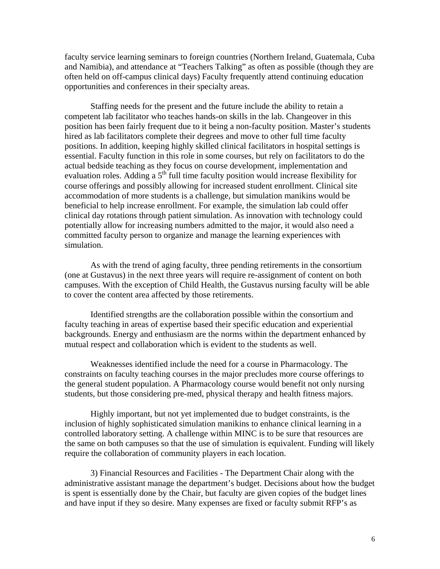faculty service learning seminars to foreign countries (Northern Ireland, Guatemala, Cuba and Namibia), and attendance at "Teachers Talking" as often as possible (though they are often held on off-campus clinical days) Faculty frequently attend continuing education opportunities and conferences in their specialty areas.

Staffing needs for the present and the future include the ability to retain a competent lab facilitator who teaches hands-on skills in the lab. Changeover in this position has been fairly frequent due to it being a non-faculty position. Master's students hired as lab facilitators complete their degrees and move to other full time faculty positions. In addition, keeping highly skilled clinical facilitators in hospital settings is essential. Faculty function in this role in some courses, but rely on facilitators to do the actual bedside teaching as they focus on course development, implementation and evaluation roles. Adding a  $5<sup>th</sup>$  full time faculty position would increase flexibility for course offerings and possibly allowing for increased student enrollment. Clinical site accommodation of more students is a challenge, but simulation manikins would be beneficial to help increase enrollment. For example, the simulation lab could offer clinical day rotations through patient simulation. As innovation with technology could potentially allow for increasing numbers admitted to the major, it would also need a committed faculty person to organize and manage the learning experiences with simulation.

As with the trend of aging faculty, three pending retirements in the consortium (one at Gustavus) in the next three years will require re-assignment of content on both campuses. With the exception of Child Health, the Gustavus nursing faculty will be able to cover the content area affected by those retirements.

Identified strengths are the collaboration possible within the consortium and faculty teaching in areas of expertise based their specific education and experiential backgrounds. Energy and enthusiasm are the norms within the department enhanced by mutual respect and collaboration which is evident to the students as well.

Weaknesses identified include the need for a course in Pharmacology. The constraints on faculty teaching courses in the major precludes more course offerings to the general student population. A Pharmacology course would benefit not only nursing students, but those considering pre-med, physical therapy and health fitness majors.

Highly important, but not yet implemented due to budget constraints, is the inclusion of highly sophisticated simulation manikins to enhance clinical learning in a controlled laboratory setting. A challenge within MINC is to be sure that resources are the same on both campuses so that the use of simulation is equivalent. Funding will likely require the collaboration of community players in each location.

3) Financial Resources and Facilities - The Department Chair along with the administrative assistant manage the department's budget. Decisions about how the budget is spent is essentially done by the Chair, but faculty are given copies of the budget lines and have input if they so desire. Many expenses are fixed or faculty submit RFP's as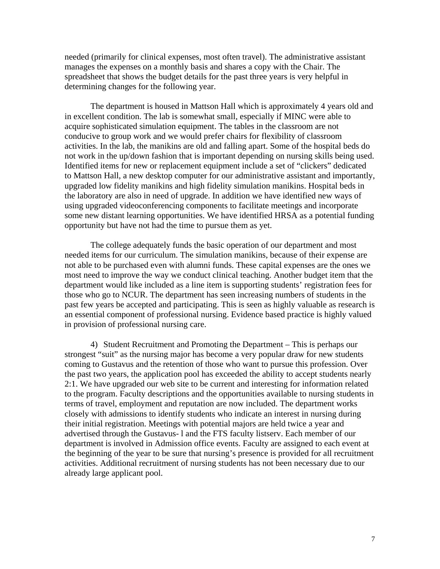needed (primarily for clinical expenses, most often travel). The administrative assistant manages the expenses on a monthly basis and shares a copy with the Chair. The spreadsheet that shows the budget details for the past three years is very helpful in determining changes for the following year.

The department is housed in Mattson Hall which is approximately 4 years old and in excellent condition. The lab is somewhat small, especially if MINC were able to acquire sophisticated simulation equipment. The tables in the classroom are not conducive to group work and we would prefer chairs for flexibility of classroom activities. In the lab, the manikins are old and falling apart. Some of the hospital beds do not work in the up/down fashion that is important depending on nursing skills being used. Identified items for new or replacement equipment include a set of "clickers" dedicated to Mattson Hall, a new desktop computer for our administrative assistant and importantly, upgraded low fidelity manikins and high fidelity simulation manikins. Hospital beds in the laboratory are also in need of upgrade. In addition we have identified new ways of using upgraded videoconferencing components to facilitate meetings and incorporate some new distant learning opportunities. We have identified HRSA as a potential funding opportunity but have not had the time to pursue them as yet.

The college adequately funds the basic operation of our department and most needed items for our curriculum. The simulation manikins, because of their expense are not able to be purchased even with alumni funds. These capital expenses are the ones we most need to improve the way we conduct clinical teaching. Another budget item that the department would like included as a line item is supporting students' registration fees for those who go to NCUR. The department has seen increasing numbers of students in the past few years be accepted and participating. This is seen as highly valuable as research is an essential component of professional nursing. Evidence based practice is highly valued in provision of professional nursing care.

4) Student Recruitment and Promoting the Department – This is perhaps our strongest "suit" as the nursing major has become a very popular draw for new students coming to Gustavus and the retention of those who want to pursue this profession. Over the past two years, the application pool has exceeded the ability to accept students nearly 2:1. We have upgraded our web site to be current and interesting for information related to the program. Faculty descriptions and the opportunities available to nursing students in terms of travel, employment and reputation are now included. The department works closely with admissions to identify students who indicate an interest in nursing during their initial registration. Meetings with potential majors are held twice a year and advertised through the Gustavus- l and the FTS faculty listserv. Each member of our department is involved in Admission office events. Faculty are assigned to each event at the beginning of the year to be sure that nursing's presence is provided for all recruitment activities. Additional recruitment of nursing students has not been necessary due to our already large applicant pool.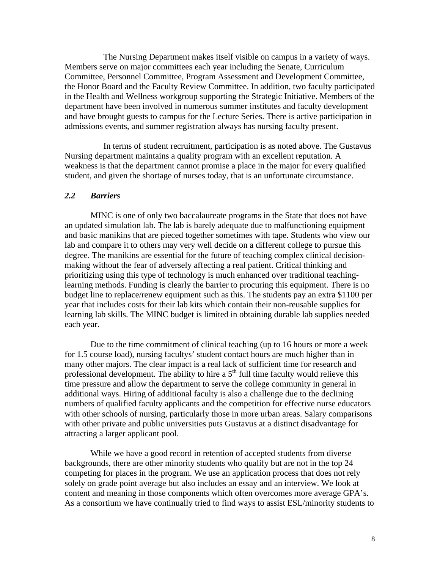The Nursing Department makes itself visible on campus in a variety of ways. Members serve on major committees each year including the Senate, Curriculum Committee, Personnel Committee, Program Assessment and Development Committee, the Honor Board and the Faculty Review Committee. In addition, two faculty participated in the Health and Wellness workgroup supporting the Strategic Initiative. Members of the department have been involved in numerous summer institutes and faculty development and have brought guests to campus for the Lecture Series. There is active participation in admissions events, and summer registration always has nursing faculty present.

 In terms of student recruitment, participation is as noted above. The Gustavus Nursing department maintains a quality program with an excellent reputation. A weakness is that the department cannot promise a place in the major for every qualified student, and given the shortage of nurses today, that is an unfortunate circumstance.

#### *2.2 Barriers*

MINC is one of only two baccalaureate programs in the State that does not have an updated simulation lab. The lab is barely adequate due to malfunctioning equipment and basic manikins that are pieced together sometimes with tape. Students who view our lab and compare it to others may very well decide on a different college to pursue this degree. The manikins are essential for the future of teaching complex clinical decisionmaking without the fear of adversely affecting a real patient. Critical thinking and prioritizing using this type of technology is much enhanced over traditional teachinglearning methods. Funding is clearly the barrier to procuring this equipment. There is no budget line to replace/renew equipment such as this. The students pay an extra \$1100 per year that includes costs for their lab kits which contain their non-reusable supplies for learning lab skills. The MINC budget is limited in obtaining durable lab supplies needed each year.

Due to the time commitment of clinical teaching (up to 16 hours or more a week for 1.5 course load), nursing facultys' student contact hours are much higher than in many other majors. The clear impact is a real lack of sufficient time for research and professional development. The ability to hire a  $5<sup>th</sup>$  full time faculty would relieve this time pressure and allow the department to serve the college community in general in additional ways. Hiring of additional faculty is also a challenge due to the declining numbers of qualified faculty applicants and the competition for effective nurse educators with other schools of nursing, particularly those in more urban areas. Salary comparisons with other private and public universities puts Gustavus at a distinct disadvantage for attracting a larger applicant pool.

While we have a good record in retention of accepted students from diverse backgrounds, there are other minority students who qualify but are not in the top 24 competing for places in the program. We use an application process that does not rely solely on grade point average but also includes an essay and an interview. We look at content and meaning in those components which often overcomes more average GPA's. As a consortium we have continually tried to find ways to assist ESL/minority students to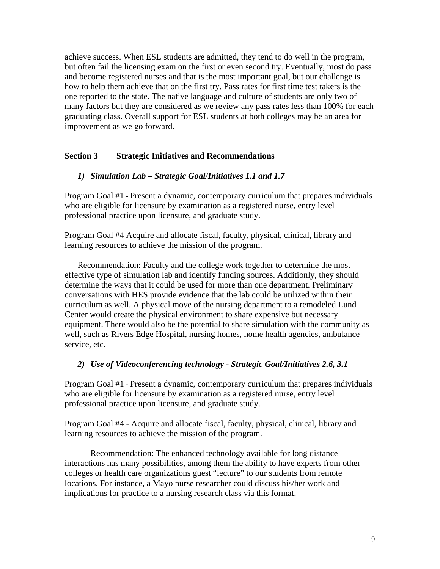achieve success. When ESL students are admitted, they tend to do well in the program, but often fail the licensing exam on the first or even second try. Eventually, most do pass and become registered nurses and that is the most important goal, but our challenge is how to help them achieve that on the first try. Pass rates for first time test takers is the one reported to the state. The native language and culture of students are only two of many factors but they are considered as we review any pass rates less than 100% for each graduating class. Overall support for ESL students at both colleges may be an area for improvement as we go forward.

# **Section 3 Strategic Initiatives and Recommendations**

## *1) Simulation Lab – Strategic Goal/Initiatives 1.1 and 1.7*

Program Goal #1 - Present a dynamic, contemporary curriculum that prepares individuals who are eligible for licensure by examination as a registered nurse, entry level professional practice upon licensure, and graduate study.

Program Goal #4 Acquire and allocate fiscal, faculty, physical, clinical, library and learning resources to achieve the mission of the program.

Recommendation: Faculty and the college work together to determine the most effective type of simulation lab and identify funding sources. Additionly, they should determine the ways that it could be used for more than one department. Preliminary conversations with HES provide evidence that the lab could be utilized within their curriculum as well. A physical move of the nursing department to a remodeled Lund Center would create the physical environment to share expensive but necessary equipment. There would also be the potential to share simulation with the community as well, such as Rivers Edge Hospital, nursing homes, home health agencies, ambulance service, etc.

## *2) Use of Videoconferencing technology - Strategic Goal/Initiatives 2.6, 3.1*

Program Goal #1 - Present a dynamic, contemporary curriculum that prepares individuals who are eligible for licensure by examination as a registered nurse, entry level professional practice upon licensure, and graduate study.

Program Goal #4 - Acquire and allocate fiscal, faculty, physical, clinical, library and learning resources to achieve the mission of the program.

Recommendation: The enhanced technology available for long distance interactions has many possibilities, among them the ability to have experts from other colleges or health care organizations guest "lecture" to our students from remote locations. For instance, a Mayo nurse researcher could discuss his/her work and implications for practice to a nursing research class via this format.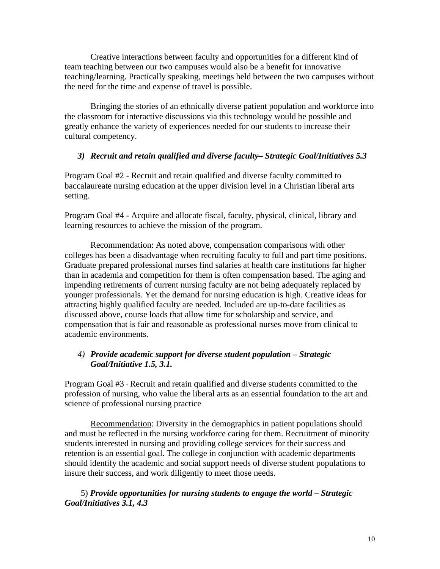Creative interactions between faculty and opportunities for a different kind of team teaching between our two campuses would also be a benefit for innovative teaching/learning. Practically speaking, meetings held between the two campuses without the need for the time and expense of travel is possible.

 Bringing the stories of an ethnically diverse patient population and workforce into the classroom for interactive discussions via this technology would be possible and greatly enhance the variety of experiences needed for our students to increase their cultural competency.

## *3) Recruit and retain qualified and diverse faculty– Strategic Goal/Initiatives 5.3*

Program Goal #2 - Recruit and retain qualified and diverse faculty committed to baccalaureate nursing education at the upper division level in a Christian liberal arts setting.

Program Goal #4 - Acquire and allocate fiscal, faculty, physical, clinical, library and learning resources to achieve the mission of the program.

Recommendation: As noted above, compensation comparisons with other colleges has been a disadvantage when recruiting faculty to full and part time positions. Graduate prepared professional nurses find salaries at health care institutions far higher than in academia and competition for them is often compensation based. The aging and impending retirements of current nursing faculty are not being adequately replaced by younger professionals. Yet the demand for nursing education is high. Creative ideas for attracting highly qualified faculty are needed. Included are up-to-date facilities as discussed above, course loads that allow time for scholarship and service, and compensation that is fair and reasonable as professional nurses move from clinical to academic environments.

# *4) Provide academic support for diverse student population – Strategic Goal/Initiative 1.5, 3.1.*

Program Goal #3 - Recruit and retain qualified and diverse students committed to the profession of nursing, who value the liberal arts as an essential foundation to the art and science of professional nursing practice

 Recommendation: Diversity in the demographics in patient populations should and must be reflected in the nursing workforce caring for them. Recruitment of minority students interested in nursing and providing college services for their success and retention is an essential goal. The college in conjunction with academic departments should identify the academic and social support needs of diverse student populations to insure their success, and work diligently to meet those needs.

5) *Provide opportunities for nursing students to engage the world – Strategic Goal/Initiatives 3.1, 4.3*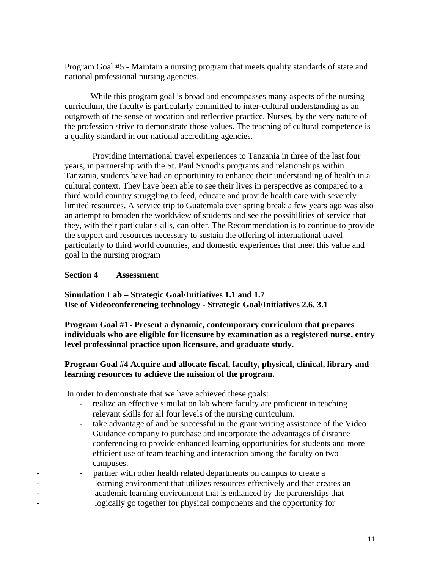Program Goal #5 - Maintain a nursing program that meets quality standards of state and national professional nursing agencies.

While this program goal is broad and encompasses many aspects of the nursing curriculum, the faculty is particularly committed to inter-cultural understanding as an outgrowth of the sense of vocation and reflective practice. Nurses, by the very nature of the profession strive to demonstrate those values. The teaching of cultural competence is a quality standard in our national accrediting agencies.

 Providing international travel experiences to Tanzania in three of the last four years, in partnership with the St. Paul Synod's programs and relationships within Tanzania, students have had an opportunity to enhance their understanding of health in a cultural context. They have been able to see their lives in perspective as compared to a third world country struggling to feed, educate and provide health care with severely limited resources. A service trip to Guatemala over spring break a few years ago was also an attempt to broaden the worldview of students and see the possibilities of service that they, with their particular skills, can offer. The Recommendation is to continue to provide the support and resources necessary to sustain the offering of international travel particularly to third world countries, and domestic experiences that meet this value and goal in the nursing program

## **Section 4 Assessment**

**Simulation Lab – Strategic Goal/Initiatives 1.1 and 1.7 Use of Videoconferencing technology - Strategic Goal/Initiatives 2.6, 3.1** 

**Program Goal #1 - Present a dynamic, contemporary curriculum that prepares individuals who are eligible for licensure by examination as a registered nurse, entry level professional practice upon licensure, and graduate study.** 

# **Program Goal #4 Acquire and allocate fiscal, faculty, physical, clinical, library and learning resources to achieve the mission of the program.**

In order to demonstrate that we have achieved these goals:

- realize an effective simulation lab where faculty are proficient in teaching relevant skills for all four levels of the nursing curriculum.
- take advantage of and be successful in the grant writing assistance of the Video Guidance company to purchase and incorporate the advantages of distance conferencing to provide enhanced learning opportunities for students and more efficient use of team teaching and interaction among the faculty on two campuses.
- partner with other health related departments on campus to create a - learning environment that utilizes resources effectively and that creates an - academic learning environment that is enhanced by the partnerships that logically go together for physical components and the opportunity for